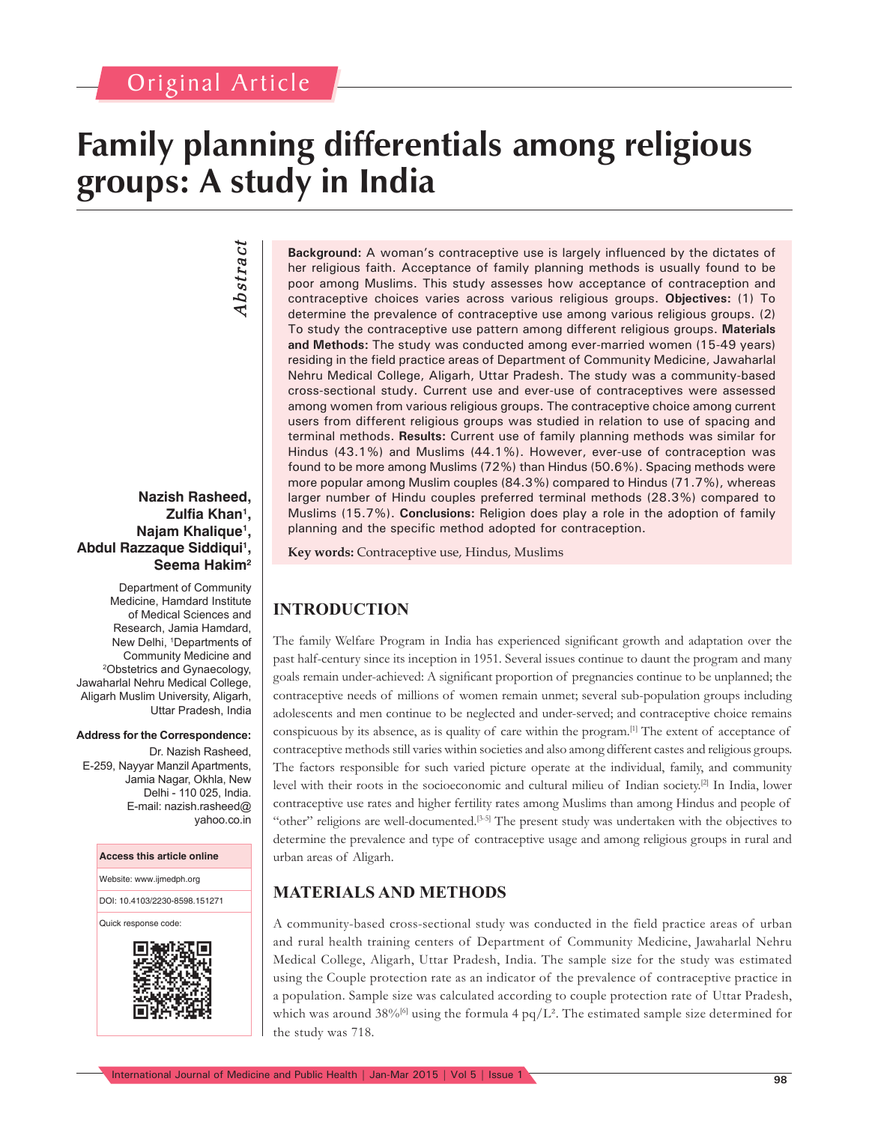# **Family planning differentials among religious groups: A study in India**

# *Abstract* Abstract

### **Nazish Rasheed, Zulfia Khan1 , Najam Khalique1 , Abdul Razzaque Siddiqui1 , Seema Hakim2**

Department of Community Medicine, Hamdard Institute of Medical Sciences and Research, Jamia Hamdard, New Delhi, 1 Departments of Community Medicine and Obstetrics and Gynaecology, Jawaharlal Nehru Medical College, Aligarh Muslim University, Aligarh, Uttar Pradesh, India

#### **Address for the Correspondence:**

Dr. Nazish Rasheed, E-259, Nayyar Manzil Apartments, Jamia Nagar, Okhla, New Delhi - 110 025, India. E-mail: nazish.rasheed@ yahoo.co.in

#### **Access this article online**

Website: www.ijmedph.org

DOI: 10.4103/2230-8598.151271

Quick response code:



**Background:** A woman's contraceptive use is largely influenced by the dictates of her religious faith. Acceptance of family planning methods is usually found to be poor among Muslims. This study assesses how acceptance of contraception and contraceptive choices varies across various religious groups. **Objectives:** (1) To determine the prevalence of contraceptive use among various religious groups. (2) To study the contraceptive use pattern among different religious groups. **Materials and Methods:** The study was conducted among ever-married women (15-49 years) residing in the field practice areas of Department of Community Medicine, Jawaharlal Nehru Medical College, Aligarh, Uttar Pradesh. The study was a community-based cross-sectional study. Current use and ever-use of contraceptives were assessed among women from various religious groups. The contraceptive choice among current users from different religious groups was studied in relation to use of spacing and terminal methods. **Results:** Current use of family planning methods was similar for Hindus (43.1%) and Muslims (44.1%). However, ever-use of contraception was found to be more among Muslims (72%) than Hindus (50.6%). Spacing methods were more popular among Muslim couples (84.3%) compared to Hindus (71.7%), whereas larger number of Hindu couples preferred terminal methods (28.3%) compared to Muslims (15.7%). **Conclusions:** Religion does play a role in the adoption of family planning and the specific method adopted for contraception.

**Key words:** Contraceptive use, Hindus, Muslims

## **INTRODUCTION**

The family Welfare Program in India has experienced significant growth and adaptation over the past half-century since its inception in 1951. Several issues continue to daunt the program and many goals remain under-achieved: A significant proportion of pregnancies continue to be unplanned; the contraceptive needs of millions of women remain unmet; several sub-population groups including adolescents and men continue to be neglected and under-served; and contraceptive choice remains conspicuous by its absence, as is quality of care within the program.[1] The extent of acceptance of contraceptive methods still varies within societies and also among different castes and religious groups. The factors responsible for such varied picture operate at the individual, family, and community level with their roots in the socioeconomic and cultural milieu of Indian society.[2] In India, lower contraceptive use rates and higher fertility rates among Muslims than among Hindus and people of "other" religions are well-documented.[3-5] The present study was undertaken with the objectives to determine the prevalence and type of contraceptive usage and among religious groups in rural and urban areas of Aligarh.

## **MATERIALS AND METHODS**

A community-based cross-sectional study was conducted in the field practice areas of urban and rural health training centers of Department of Community Medicine, Jawaharlal Nehru Medical College, Aligarh, Uttar Pradesh, India. The sample size for the study was estimated using the Couple protection rate as an indicator of the prevalence of contraceptive practice in a population. Sample size was calculated according to couple protection rate of Uttar Pradesh, which was around  $38\%^{[6]}$  using the formula 4 pq/L<sup>2</sup>. The estimated sample size determined for the study was 718.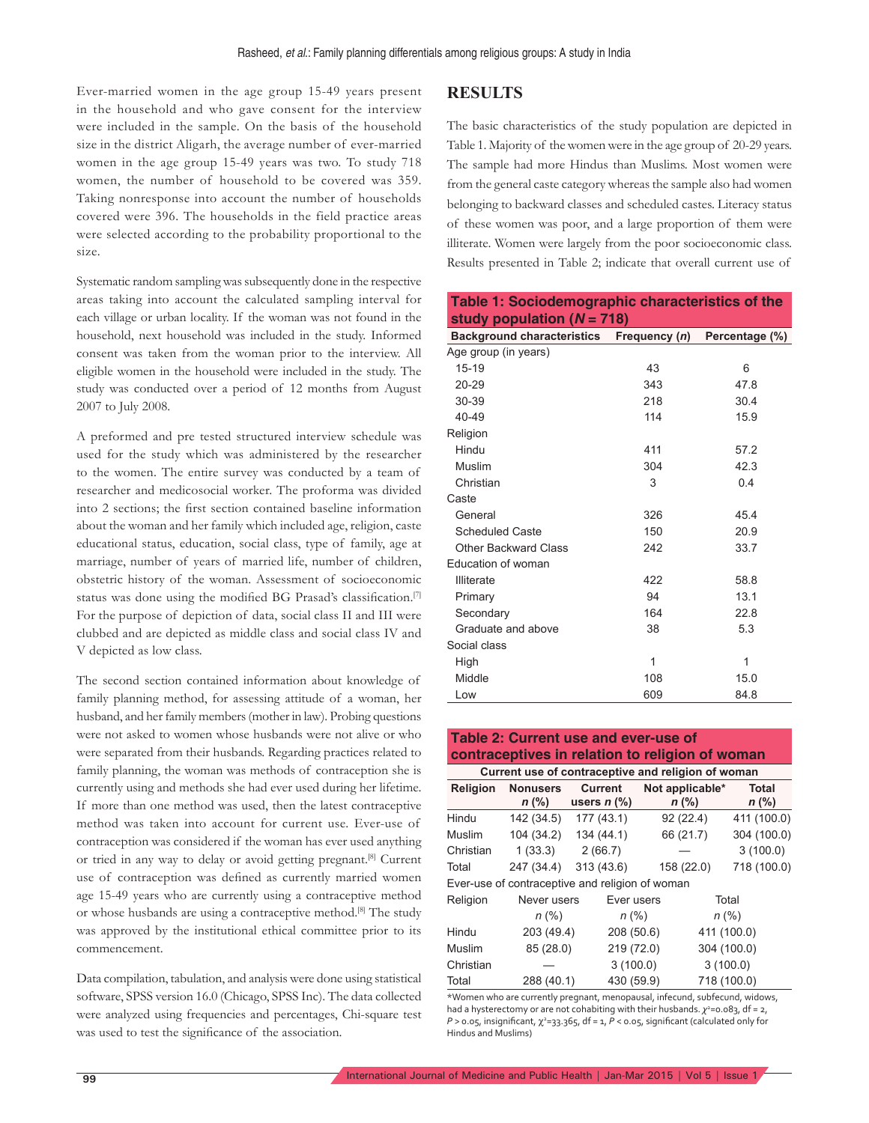Ever-married women in the age group 15-49 years present in the household and who gave consent for the interview were included in the sample. On the basis of the household size in the district Aligarh, the average number of ever-married women in the age group 15-49 years was two. To study 718 women, the number of household to be covered was 359. Taking nonresponse into account the number of households covered were 396. The households in the field practice areas were selected according to the probability proportional to the size.

Systematic random sampling was subsequently done in the respective areas taking into account the calculated sampling interval for each village or urban locality. If the woman was not found in the household, next household was included in the study. Informed consent was taken from the woman prior to the interview. All eligible women in the household were included in the study. The study was conducted over a period of 12 months from August 2007 to July 2008.

A preformed and pre tested structured interview schedule was used for the study which was administered by the researcher to the women. The entire survey was conducted by a team of researcher and medicosocial worker. The proforma was divided into 2 sections; the first section contained baseline information about the woman and her family which included age, religion, caste educational status, education, social class, type of family, age at marriage, number of years of married life, number of children, obstetric history of the woman. Assessment of socioeconomic status was done using the modified BG Prasad's classification.<sup>[7]</sup> For the purpose of depiction of data, social class II and III were clubbed and are depicted as middle class and social class IV and V depicted as low class.

The second section contained information about knowledge of family planning method, for assessing attitude of a woman, her husband, and her family members (mother in law). Probing questions were not asked to women whose husbands were not alive or who were separated from their husbands. Regarding practices related to family planning, the woman was methods of contraception she is currently using and methods she had ever used during her lifetime. If more than one method was used, then the latest contraceptive method was taken into account for current use. Ever-use of contraception was considered if the woman has ever used anything or tried in any way to delay or avoid getting pregnant.<sup>[8]</sup> Current use of contraception was defined as currently married women age 15-49 years who are currently using a contraceptive method or whose husbands are using a contraceptive method.[8] The study was approved by the institutional ethical committee prior to its commencement.

Data compilation, tabulation, and analysis were done using statistical software, SPSS version 16.0 (Chicago, SPSS Inc). The data collected were analyzed using frequencies and percentages, Chi-square test was used to test the significance of the association.

### **RESULTS**

The basic characteristics of the study population are depicted in Table 1. Majority of the women were in the age group of 20-29 years. The sample had more Hindus than Muslims. Most women were from the general caste category whereas the sample also had women belonging to backward classes and scheduled castes. Literacy status of these women was poor, and a large proportion of them were illiterate. Women were largely from the poor socioeconomic class. Results presented in Table 2; indicate that overall current use of

|                              | Table 1: Sociodemographic characteristics of the |
|------------------------------|--------------------------------------------------|
| study population $(N = 718)$ |                                                  |

| $\frac{1}{2}$                     |               |                |  |  |  |  |  |  |  |
|-----------------------------------|---------------|----------------|--|--|--|--|--|--|--|
| <b>Background characteristics</b> | Frequency (n) | Percentage (%) |  |  |  |  |  |  |  |
| Age group (in years)              |               |                |  |  |  |  |  |  |  |
| $15 - 19$                         | 43            | 6              |  |  |  |  |  |  |  |
| 20-29                             | 343           | 47.8           |  |  |  |  |  |  |  |
| 30-39                             | 218           | 30.4           |  |  |  |  |  |  |  |
| 40-49                             | 114           | 15.9           |  |  |  |  |  |  |  |
| Religion                          |               |                |  |  |  |  |  |  |  |
| Hindu                             | 411           | 57.2           |  |  |  |  |  |  |  |
| Muslim                            | 304           | 42.3           |  |  |  |  |  |  |  |
| Christian                         | 3             | 0.4            |  |  |  |  |  |  |  |
| Caste                             |               |                |  |  |  |  |  |  |  |
| General                           | 326           | 45.4           |  |  |  |  |  |  |  |
| <b>Scheduled Caste</b>            | 150           | 20.9           |  |  |  |  |  |  |  |
| Other Backward Class              | 242           | 33.7           |  |  |  |  |  |  |  |
| Education of woman                |               |                |  |  |  |  |  |  |  |
| <b>Illiterate</b>                 | 422           | 58.8           |  |  |  |  |  |  |  |
| Primary                           | 94            | 13.1           |  |  |  |  |  |  |  |
| Secondary                         | 164           | 22.8           |  |  |  |  |  |  |  |
| Graduate and above                | 38            | 5.3            |  |  |  |  |  |  |  |
| Social class                      |               |                |  |  |  |  |  |  |  |
| High                              | 1             | 1              |  |  |  |  |  |  |  |
| Middle                            | 108           | 15.0           |  |  |  |  |  |  |  |
| Low                               | 609           | 84.8           |  |  |  |  |  |  |  |

### **Table 2: Current use and ever-use of contraceptives in relation to religion of woman**

| Current use of contraceptive and religion of woman |                 |                |            |  |                 |              |  |  |
|----------------------------------------------------|-----------------|----------------|------------|--|-----------------|--------------|--|--|
| <b>Religion</b>                                    | <b>Nonusers</b> | <b>Current</b> |            |  | Not applicable* | <b>Total</b> |  |  |
|                                                    | $n$ (%)         | users $n$ (%)  |            |  | $n$ (%)         | $n$ (%)      |  |  |
| Hindu                                              | 142 (34.5)      | 177 (43.1)     |            |  | 92(22.4)        | 411 (100.0)  |  |  |
| Muslim                                             | 104 (34.2)      | 134 (44.1)     |            |  | 66 (21.7)       | 304 (100.0)  |  |  |
| Christian                                          | 1(33.3)         | 2(66.7)        |            |  |                 | 3(100.0)     |  |  |
| Total                                              | 247 (34.4)      | 313(43.6)      |            |  | 158 (22.0)      | 718 (100.0)  |  |  |
| Ever-use of contraceptive and religion of woman    |                 |                |            |  |                 |              |  |  |
| Religion                                           | Never users     |                | Ever users |  |                 | Total        |  |  |
|                                                    | $n (\%)$        |                | $n (\%)$   |  |                 | $n$ (%)      |  |  |
| Hindu                                              | 203 (49.4)      |                | 208 (50.6) |  |                 | 411 (100.0)  |  |  |
| Muslim                                             | 85 (28.0)       |                | 219 (72.0) |  |                 | 304 (100.0)  |  |  |
| Christian                                          |                 |                | 3(100.0)   |  |                 | 3(100.0)     |  |  |
| Total                                              | 288 (40.1)      |                | 430 (59.9) |  |                 | 718 (100.0)  |  |  |

\*Women who are currently pregnant, menopausal, infecund, subfecund, widows, had a hysterectomy or are not cohabiting with their husbands.  $\chi^{\rm 2=}$ 0.083, df = 2, *P* > 0.05, insignificant, χ<sup>2</sup>=33.365, df = 1, *P* < 0.05, significant (calculated only for Hindus and Muslims)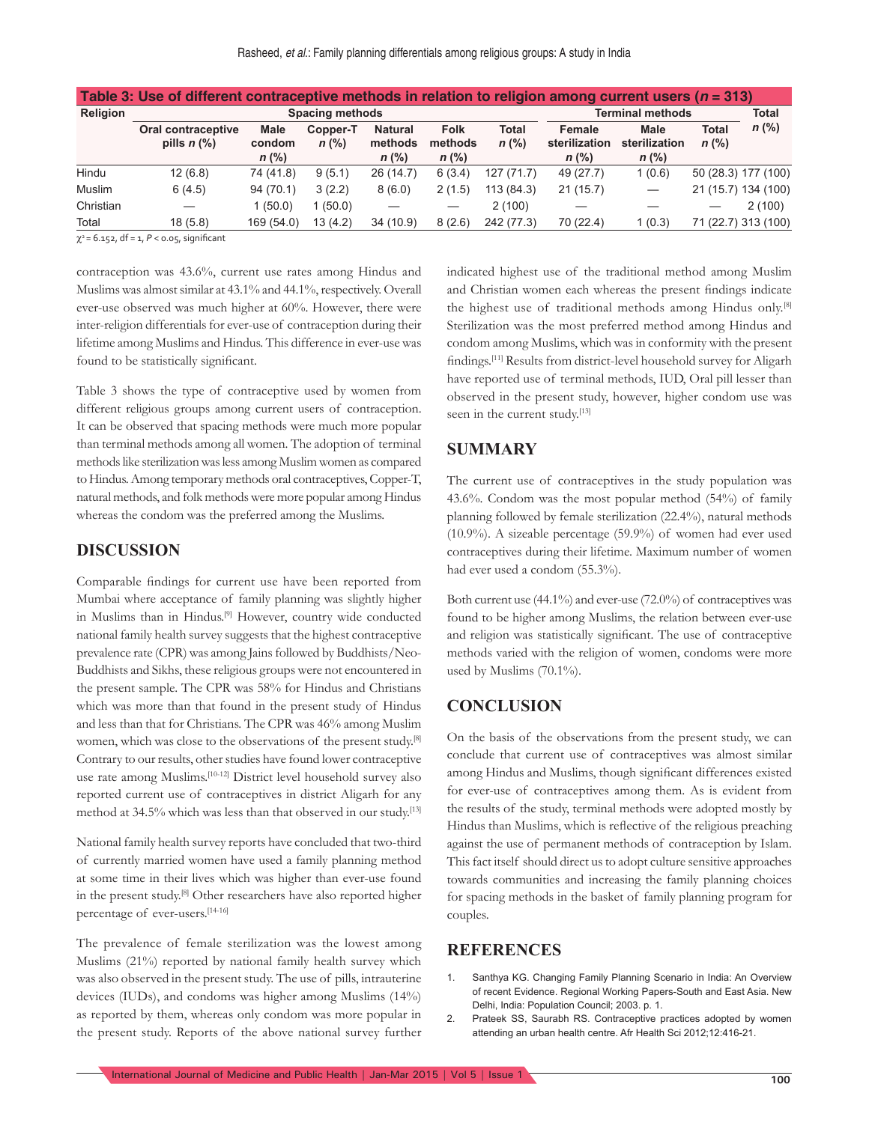| Table 3: Use of different contraceptive methods in relation to religion among current users ( $n = 313$ ) |                                                            |                                  |                     |                                      |                                   |                         |                                    |                                         |                         |                     |
|-----------------------------------------------------------------------------------------------------------|------------------------------------------------------------|----------------------------------|---------------------|--------------------------------------|-----------------------------------|-------------------------|------------------------------------|-----------------------------------------|-------------------------|---------------------|
| Religion                                                                                                  | <b>Spacing methods</b>                                     |                                  |                     |                                      |                                   | <b>Terminal methods</b> |                                    |                                         | <b>Total</b>            |                     |
|                                                                                                           | Oral contraceptive<br>pills $n$ $\left(\frac{9}{6}\right)$ | <b>Male</b><br>condom<br>$n$ (%) | Copper-T<br>$n$ (%) | <b>Natural</b><br>methods<br>$n$ (%) | <b>Folk</b><br>methods<br>$n$ (%) | Total<br>$n$ (%)        | Female<br>sterilization<br>$n$ (%) | <b>Male</b><br>sterilization<br>$n$ (%) | <b>Total</b><br>$n$ (%) | $n$ (%)             |
| Hindu                                                                                                     | 12(6.8)                                                    | 74 (41.8)                        | 9(5.1)              | 26(14.7)                             | 6(3.4)                            | 127(71.7)               | 49 (27.7)                          | 1(0.6)                                  |                         | 50 (28.3) 177 (100) |
| Muslim                                                                                                    | 6(4.5)                                                     | 94(70.1)                         | 3(2.2)              | 8(6.0)                               | 2(1.5)                            | 113 (84.3)              | 21(15.7)                           |                                         |                         | 21 (15.7) 134 (100) |
| Christian                                                                                                 |                                                            | 1(50.0)                          | 1(50.0)             |                                      |                                   | 2(100)                  |                                    |                                         |                         | 2(100)              |
| Total                                                                                                     | 18(5.8)                                                    | 169 (54.0)                       | 13(4.2)             | 34 (10.9)                            | 8(2.6)                            | 242 (77.3)              | 70 (22.4)                          | 1(0.3)                                  |                         | 71 (22.7) 313 (100) |

 $\chi^2$  = 6.152, df = 1, P < 0.05, significant

contraception was 43.6%, current use rates among Hindus and Muslims was almost similar at 43.1% and 44.1%, respectively. Overall ever-use observed was much higher at 60%. However, there were inter-religion differentials for ever-use of contraception during their lifetime among Muslims and Hindus. This difference in ever-use was found to be statistically significant.

Table 3 shows the type of contraceptive used by women from different religious groups among current users of contraception. It can be observed that spacing methods were much more popular than terminal methods among all women. The adoption of terminal methods like sterilization was less among Muslim women as compared to Hindus. Among temporary methods oral contraceptives, Copper-T, natural methods, and folk methods were more popular among Hindus whereas the condom was the preferred among the Muslims.

#### **DISCUSSION**

Comparable findings for current use have been reported from Mumbai where acceptance of family planning was slightly higher in Muslims than in Hindus.<sup>[9]</sup> However, country wide conducted national family health survey suggests that the highest contraceptive prevalence rate (CPR) was among Jains followed by Buddhists/Neo-Buddhists and Sikhs, these religious groups were not encountered in the present sample. The CPR was 58% for Hindus and Christians which was more than that found in the present study of Hindus and less than that for Christians. The CPR was 46% among Muslim women, which was close to the observations of the present study.[8] Contrary to our results, other studies have found lower contraceptive use rate among Muslims.[10-12] District level household survey also reported current use of contraceptives in district Aligarh for any method at 34.5% which was less than that observed in our study.<sup>[13]</sup>

National family health survey reports have concluded that two-third of currently married women have used a family planning method at some time in their lives which was higher than ever-use found in the present study.[8] Other researchers have also reported higher percentage of ever-users.[14-16]

The prevalence of female sterilization was the lowest among Muslims (21%) reported by national family health survey which was also observed in the present study. The use of pills, intrauterine devices (IUDs), and condoms was higher among Muslims (14%) as reported by them, whereas only condom was more popular in the present study. Reports of the above national survey further

indicated highest use of the traditional method among Muslim and Christian women each whereas the present findings indicate the highest use of traditional methods among Hindus only.[8] Sterilization was the most preferred method among Hindus and condom among Muslims, which was in conformity with the present findings.<sup>[11]</sup> Results from district-level household survey for Aligarh have reported use of terminal methods, IUD, Oral pill lesser than observed in the present study, however, higher condom use was seen in the current study.<sup>[13]</sup>

#### **SUMMARY**

The current use of contraceptives in the study population was 43.6%. Condom was the most popular method (54%) of family planning followed by female sterilization (22.4%), natural methods (10.9%). A sizeable percentage (59.9%) of women had ever used contraceptives during their lifetime. Maximum number of women had ever used a condom (55.3%).

Both current use (44.1%) and ever-use (72.0%) of contraceptives was found to be higher among Muslims, the relation between ever-use and religion was statistically significant. The use of contraceptive methods varied with the religion of women, condoms were more used by Muslims (70.1%).

### **CONCLUSION**

On the basis of the observations from the present study, we can conclude that current use of contraceptives was almost similar among Hindus and Muslims, though significant differences existed for ever-use of contraceptives among them. As is evident from the results of the study, terminal methods were adopted mostly by Hindus than Muslims, which is reflective of the religious preaching against the use of permanent methods of contraception by Islam. This fact itself should direct us to adopt culture sensitive approaches towards communities and increasing the family planning choices for spacing methods in the basket of family planning program for couples.

#### **REFERENCES**

- 1. Santhya KG. Changing Family Planning Scenario in India: An Overview of recent Evidence. Regional Working Papers-South and East Asia. New Delhi, India: Population Council; 2003. p. 1.
- 2. Prateek SS, Saurabh RS. Contraceptive practices adopted by women attending an urban health centre. Afr Health Sci 2012;12:416-21.